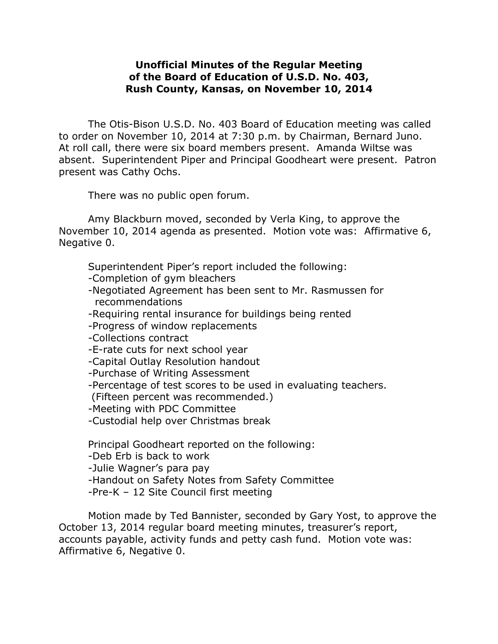## **Unofficial Minutes of the Regular Meeting of the Board of Education of U.S.D. No. 403, Rush County, Kansas, on November 10, 2014**

The Otis-Bison U.S.D. No. 403 Board of Education meeting was called to order on November 10, 2014 at 7:30 p.m. by Chairman, Bernard Juno. At roll call, there were six board members present. Amanda Wiltse was absent. Superintendent Piper and Principal Goodheart were present. Patron present was Cathy Ochs.

There was no public open forum.

Amy Blackburn moved, seconded by Verla King, to approve the November 10, 2014 agenda as presented. Motion vote was: Affirmative 6, Negative 0.

Superintendent Piper's report included the following:

-Completion of gym bleachers

- -Negotiated Agreement has been sent to Mr. Rasmussen for recommendations
- -Requiring rental insurance for buildings being rented

-Progress of window replacements

-Collections contract

-E-rate cuts for next school year

-Capital Outlay Resolution handout

-Purchase of Writing Assessment

-Percentage of test scores to be used in evaluating teachers.

(Fifteen percent was recommended.)

-Meeting with PDC Committee

-Custodial help over Christmas break

Principal Goodheart reported on the following:

-Deb Erb is back to work

-Julie Wagner's para pay

-Handout on Safety Notes from Safety Committee

-Pre-K – 12 Site Council first meeting

Motion made by Ted Bannister, seconded by Gary Yost, to approve the October 13, 2014 regular board meeting minutes, treasurer's report, accounts payable, activity funds and petty cash fund. Motion vote was: Affirmative 6, Negative 0.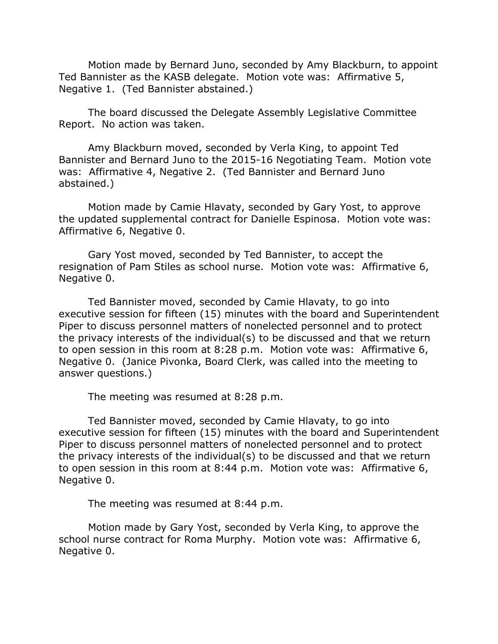Motion made by Bernard Juno, seconded by Amy Blackburn, to appoint Ted Bannister as the KASB delegate. Motion vote was: Affirmative 5, Negative 1. (Ted Bannister abstained.)

The board discussed the Delegate Assembly Legislative Committee Report. No action was taken.

Amy Blackburn moved, seconded by Verla King, to appoint Ted Bannister and Bernard Juno to the 2015-16 Negotiating Team. Motion vote was: Affirmative 4, Negative 2. (Ted Bannister and Bernard Juno abstained.)

Motion made by Camie Hlavaty, seconded by Gary Yost, to approve the updated supplemental contract for Danielle Espinosa. Motion vote was: Affirmative 6, Negative 0.

Gary Yost moved, seconded by Ted Bannister, to accept the resignation of Pam Stiles as school nurse. Motion vote was: Affirmative 6, Negative 0.

Ted Bannister moved, seconded by Camie Hlavaty, to go into executive session for fifteen (15) minutes with the board and Superintendent Piper to discuss personnel matters of nonelected personnel and to protect the privacy interests of the individual(s) to be discussed and that we return to open session in this room at 8:28 p.m. Motion vote was: Affirmative 6, Negative 0. (Janice Pivonka, Board Clerk, was called into the meeting to answer questions.)

The meeting was resumed at 8:28 p.m.

Ted Bannister moved, seconded by Camie Hlavaty, to go into executive session for fifteen (15) minutes with the board and Superintendent Piper to discuss personnel matters of nonelected personnel and to protect the privacy interests of the individual(s) to be discussed and that we return to open session in this room at 8:44 p.m. Motion vote was: Affirmative 6, Negative 0.

The meeting was resumed at 8:44 p.m.

Motion made by Gary Yost, seconded by Verla King, to approve the school nurse contract for Roma Murphy. Motion vote was: Affirmative 6, Negative 0.